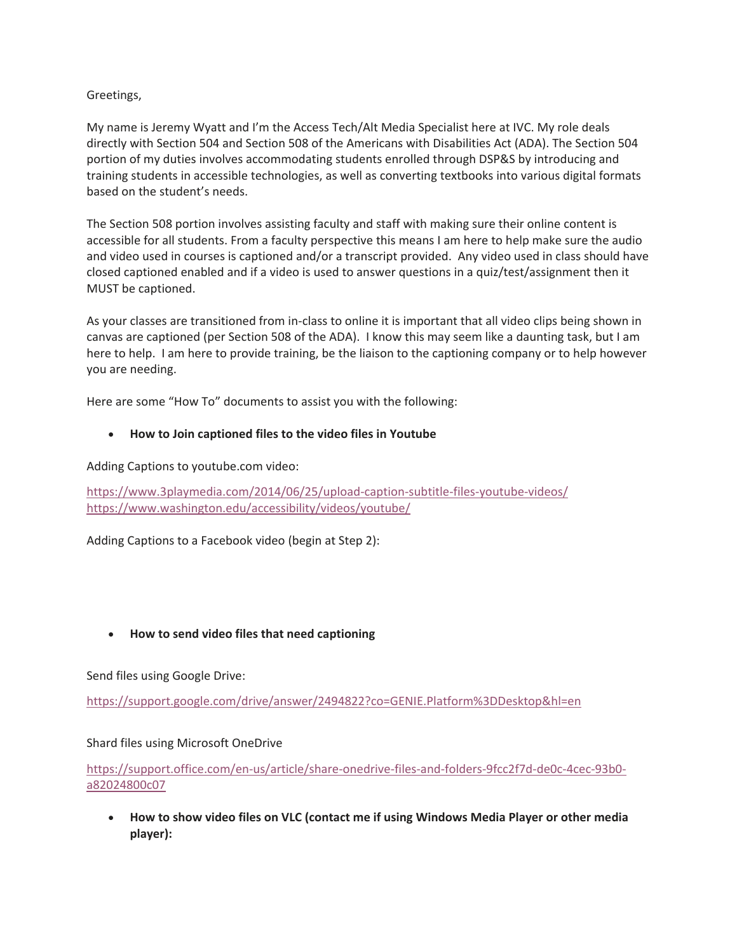## Greetings,

My name is Jeremy Wyatt and I'm the Access Tech/Alt Media Specialist here at IVC. My role deals directly with Section 504 and Section 508 of the Americans with Disabilities Act (ADA). The Section 504 portion of my duties involves accommodating students enrolled through DSP&S by introducing and training students in accessible technologies, as well as converting textbooks into various digital formats based on the student's needs.

The Section 508 portion involves assisting faculty and staff with making sure their online content is accessible for all students. From a faculty perspective this means I am here to help make sure the audio and video used in courses is captioned and/or a transcript provided. Any video used in class should have closed captioned enabled and if a video is used to answer questions in a quiz/test/assignment then it MUST be captioned.

As your classes are transitioned from in-class to online it is important that all video clips being shown in canvas are captioned (per Section 508 of the ADA). I know this may seem like a daunting task, but I am here to help. I am here to provide training, be the liaison to the captioning company or to help however you are needing.

Here are some "How To" documents to assist you with the following:

## • **How to Join captioned files to the video files in Youtube**

Adding Captions to youtube.com video:

<https://www.3playmedia.com/2014/06/25/upload-caption-subtitle-files-youtube-videos/> <https://www.washington.edu/accessibility/videos/youtube/>

Adding Captions to a Facebook video (begin at Step 2):

## • **How to send video files that need captioning**

Send files using Google Drive:

<https://support.google.com/drive/answer/2494822?co=GENIE.Platform%3DDesktop&hl=en>

Shard files using Microsoft OneDrive

[https://support.office.com/en-us/article/share-onedrive-files-and-folders-9fcc2f7d-de0c-4cec-93b0](https://support.office.com/en-us/article/share-onedrive-files-and-folders-9fcc2f7d-de0c-4cec-93b0-a82024800c07) [a82024800c07](https://support.office.com/en-us/article/share-onedrive-files-and-folders-9fcc2f7d-de0c-4cec-93b0-a82024800c07)

• **How to show video files on VLC (contact me if using Windows Media Player or other media player):**